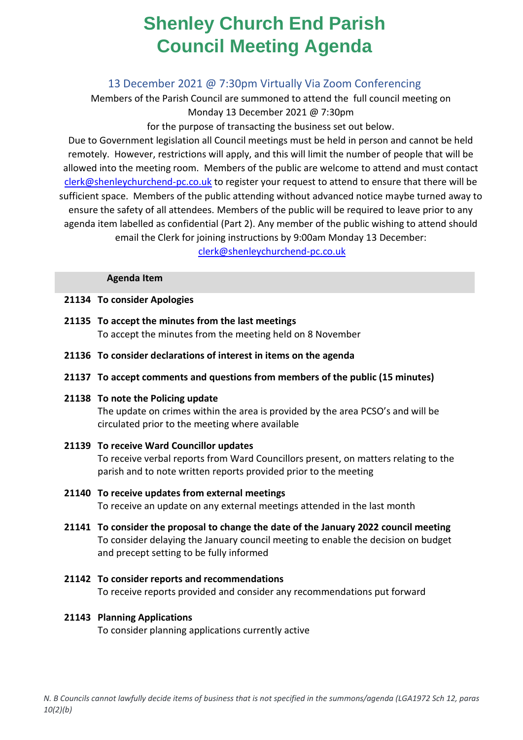## **Shenley Church End Parish Council Meeting Agenda**

## 13 December 2021 @ 7:30pm Virtually Via Zoom Conferencing

Members of the Parish Council are summoned to attend the full council meeting on Monday 13 December 2021 @ 7:30pm

for the purpose of transacting the business set out below.

Due to Government legislation all Council meetings must be held in person and cannot be held remotely. However, restrictions will apply, and this will limit the number of people that will be allowed into the meeting room. Members of the public are welcome to attend and must contact [clerk@shenleychurchend-pc.co.uk](mailto:clerk@shenleychurchend-pc.co.uk) to register your request to attend to ensure that there will be sufficient space. Members of the public attending without advanced notice maybe turned away to ensure the safety of all attendees. Members of the public will be required to leave prior to any agenda item labelled as confidential (Part 2). Any member of the public wishing to attend should email the Clerk for joining instructions by 9:00am Monday 13 December:

[clerk@shenleychurchend-pc.co.uk](mailto:clerk@shenleychurchend-pc.co.uk)

#### **Agenda Item**

- **21134 To consider Apologies**
- **21135 To accept the minutes from the last meetings** To accept the minutes from the meeting held on 8 November
- **21136 To consider declarations of interest in items on the agenda**
- **21137 To accept comments and questions from members of the public (15 minutes)**

## **21138 To note the Policing update** The update on crimes within the area is provided by the area PCSO's and will be circulated prior to the meeting where available

- **21139 To receive Ward Councillor updates** To receive verbal reports from Ward Councillors present, on matters relating to the parish and to note written reports provided prior to the meeting
- **21140 To receive updates from external meetings** To receive an update on any external meetings attended in the last month
- **21141 To consider the proposal to change the date of the January 2022 council meeting** To consider delaying the January council meeting to enable the decision on budget and precept setting to be fully informed
- **21142 To consider reports and recommendations** To receive reports provided and consider any recommendations put forward

### **21143 Planning Applications**

To consider planning applications currently active